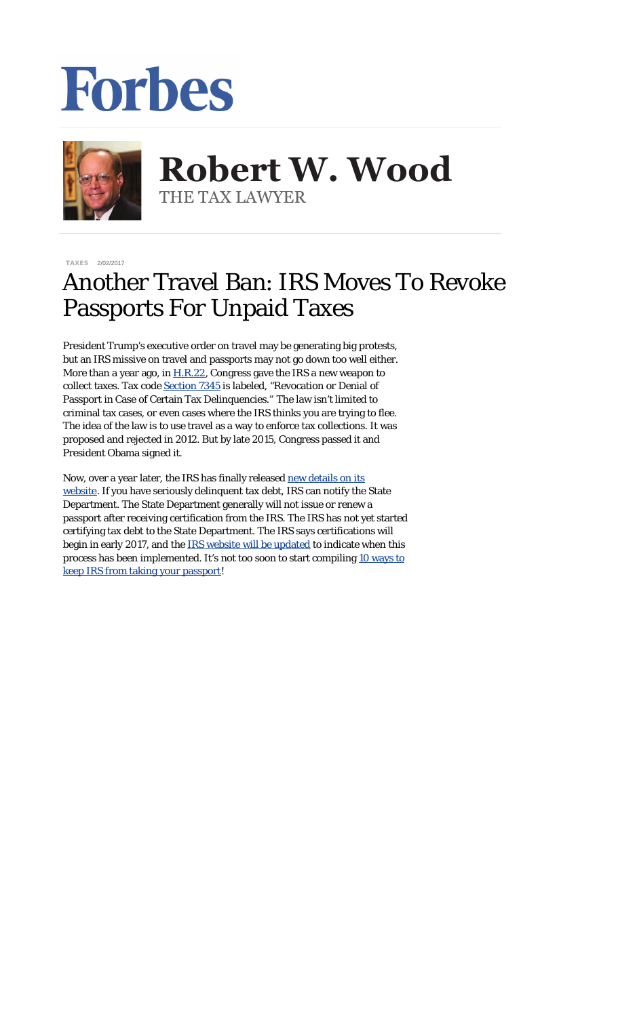## Forbes



**Robert W. Wood Robert W. Wood** THE TAX LAWYER THE TAX LAWYER

[TAXES](http://www.forbes.com/taxes) 2/02/2017

## Another Travel Ban: IRS Moves To Revoke Passports For Unpaid Taxes

President Trump's executive order on travel may be generating big protests, but an IRS missive on travel and passports may not go down too well either. More than a year ago, in [H.R.22](https://www.congress.gov/bill/114th-congress/house-bill/22), Congress gave the IRS a new weapon to collect taxes. Tax code [Section 7345](http://uscode.house.gov/view.xhtml?req=(title:26%20section:7345%20edition:prelim)) is labeled, "Revocation or Denial of Passport in Case of Certain Tax Delinquencies." The law isn't limited to criminal tax cases, or even cases where the IRS thinks you are trying to flee. The idea of the law is to use travel as a way to enforce tax collections. It was proposed and rejected in 2012. But by late 2015, Congress passed it and President Obama signed it.

Now, over a year later, the IRS has finally released [new details on its](https://www.irs.gov/businesses/small-businesses-self-employed/revocation-or-denial-of-passport-in-case-of-certain-unpaid-taxes) [website.](https://www.irs.gov/businesses/small-businesses-self-employed/revocation-or-denial-of-passport-in-case-of-certain-unpaid-taxes) If you have seriously delinquent tax debt, IRS can notify the State Department. The State Department generally will not issue or renew a passport after receiving certification from the IRS. The IRS has not yet started certifying tax debt to the State Department. The IRS says certifications will begin in early 2017, and the **IRS** website will be updated to indicate when this process has been implemented. It's not too soon to start compiling [10 ways to](https://www.google.com/url?sa=t&rct=j&q=&esrc=s&source=web&cd=2&cad=rja&uact=8&ved=0ahUKEwj1wrGBr_7RAhWDRCYKHUa6BIUQFggnMAE&url=http%3A%2F%2Fwww.forbes.com%2Fsites%2Frobertwood%2F2017%2F02%2F07%2Ftravel-ban-ten-ways-to-keep-irs-from-taking-your-passport%2F&usg=AFQjCNF4_G0wM0SiqE3mExcAOnPrjEIk4g&bvm=bv.146094739,d.eWE) [keep IRS from taking your passport](https://www.google.com/url?sa=t&rct=j&q=&esrc=s&source=web&cd=2&cad=rja&uact=8&ved=0ahUKEwj1wrGBr_7RAhWDRCYKHUa6BIUQFggnMAE&url=http%3A%2F%2Fwww.forbes.com%2Fsites%2Frobertwood%2F2017%2F02%2F07%2Ftravel-ban-ten-ways-to-keep-irs-from-taking-your-passport%2F&usg=AFQjCNF4_G0wM0SiqE3mExcAOnPrjEIk4g&bvm=bv.146094739,d.eWE)!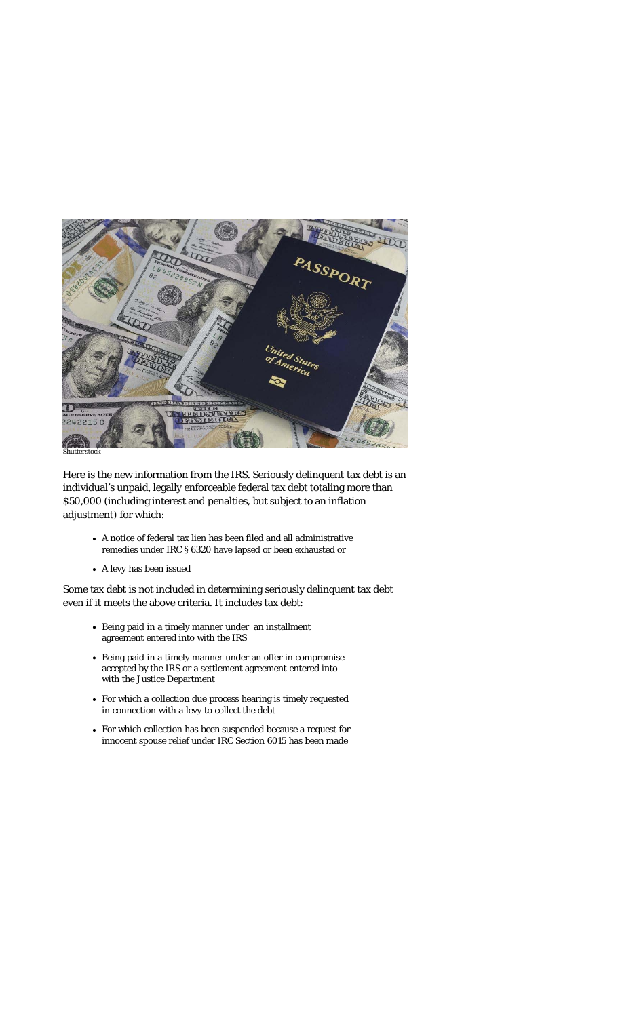

Here is the new information from the IRS. Seriously delinquent tax debt is an individual's unpaid, legally enforceable federal tax debt totaling more than \$50,000 (including interest and penalties, but subject to an inflation adjustment) for which:

- A notice of federal tax lien has been filed and all administrative remedies under IRC § 6320 have lapsed or been exhausted or
- A levy has been issued

Some tax debt is not included in determining seriously delinquent tax debt even if it meets the above criteria. It includes tax debt:

- Being paid in a timely manner under an installment agreement entered into with the IRS
- Being paid in a timely manner under an offer in compromise accepted by the IRS or a settlement agreement entered into with the Justice Department
- For which a collection due process hearing is timely requested in connection with a levy to collect the debt
- For which collection has been suspended because a request for innocent spouse relief under IRC Section 6015 has been made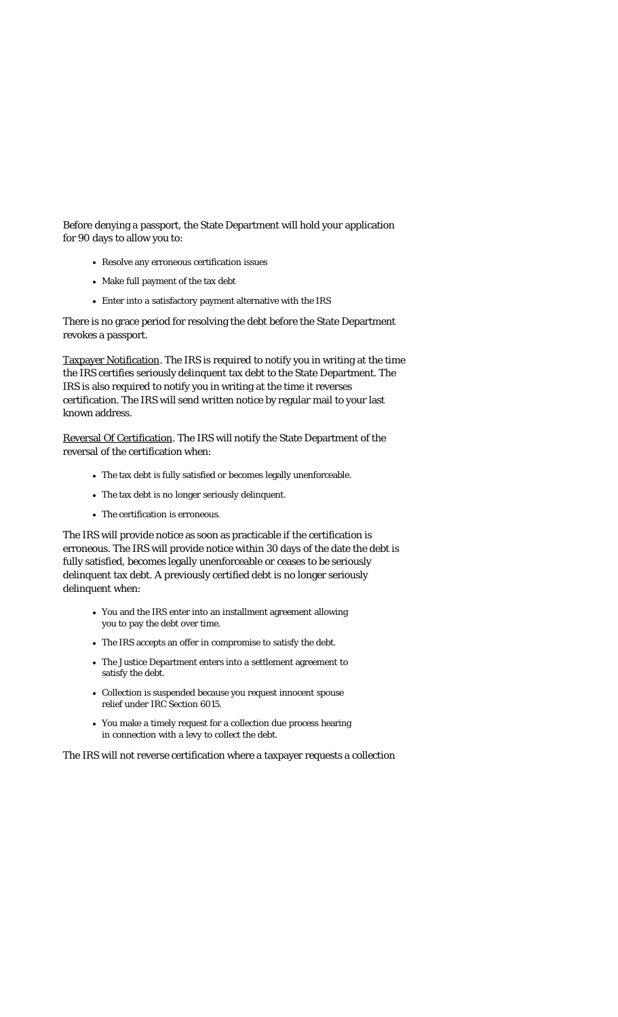Before denying a passport, the State Department will hold your application for 90 days to allow you to:

- Resolve any erroneous certification issues
- Make full payment of the tax debt
- Enter into a satisfactory payment alternative with the IRS

There is no grace period for resolving the debt before the State Department revokes a passport.

Taxpayer Notification. The IRS is required to notify you in writing at the time the IRS certifies seriously delinquent tax debt to the State Department. The IRS is also required to notify you in writing at the time it reverses certification. The IRS will send written notice by regular mail to your last known address.

Reversal Of Certification. The IRS will notify the State Department of the reversal of the certification when:

- The tax debt is fully satisfied or becomes legally unenforceable.
- The tax debt is no longer seriously delinquent.
- The certification is erroneous.

The IRS will provide notice as soon as practicable if the certification is erroneous. The IRS will provide notice within 30 days of the date the debt is fully satisfied, becomes legally unenforceable or ceases to be seriously delinquent tax debt. A previously certified debt is no longer seriously delinquent when:

- You and the IRS enter into an installment agreement allowing you to pay the debt over time.
- The IRS accepts an offer in compromise to satisfy the debt.
- The Justice Department enters into a settlement agreement to satisfy the debt.
- Collection is suspended because you request innocent spouse relief under IRC Section 6015.
- You make a timely request for a collection due process hearing in connection with a levy to collect the debt.

The IRS will not reverse certification where a taxpayer requests a collection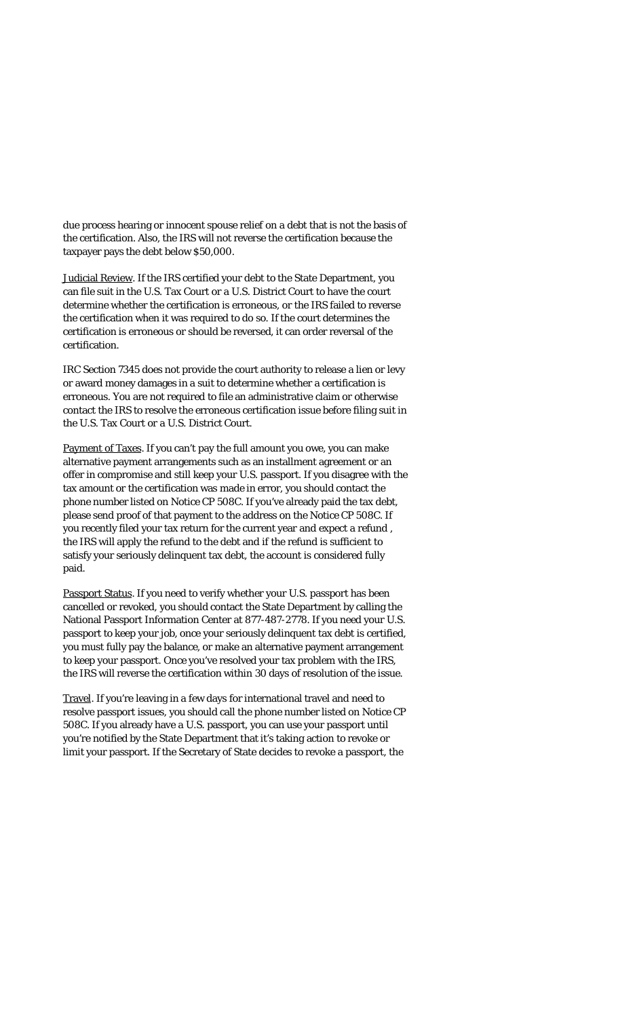due process hearing or innocent spouse relief on a debt that is not the basis of the certification. Also, the IRS will not reverse the certification because the taxpayer pays the debt below \$50,000.

Judicial Review. If the IRS certified your debt to the State Department, you can file suit in the U.S. Tax Court or a U.S. District Court to have the court determine whether the certification is erroneous, or the IRS failed to reverse the certification when it was required to do so. If the court determines the certification is erroneous or should be reversed, it can order reversal of the certification.

IRC Section 7345 does not provide the court authority to release a lien or levy or award money damages in a suit to determine whether a certification is erroneous. You are not required to file an administrative claim or otherwise contact the IRS to resolve the erroneous certification issue before filing suit in the U.S. Tax Court or a U.S. District Court.

Payment of Taxes. If you can't pay the full amount you owe, you can make alternative payment arrangements such as an installment agreement or an offer in compromise and still keep your U.S. passport. If you disagree with the tax amount or the certification was made in error, you should contact the phone number listed on Notice CP 508C. If you've already paid the tax debt, please send proof of that payment to the address on the Notice CP 508C. If you recently filed your tax return for the current year and expect a refund , the IRS will apply the refund to the debt and if the refund is sufficient to satisfy your seriously delinquent tax debt, the account is considered fully paid.

Passport Status. If you need to verify whether your U.S. passport has been cancelled or revoked, you should contact the State Department by calling the National Passport Information Center at 877-487-2778. If you need your U.S. passport to keep your job, once your seriously delinquent tax debt is certified, you must fully pay the balance, or make an alternative payment arrangement to keep your passport. Once you've resolved your tax problem with the IRS, the IRS will reverse the certification within 30 days of resolution of the issue.

Travel. If you're leaving in a few days for international travel and need to resolve passport issues, you should call the phone number listed on Notice CP 508C. If you already have a U.S. passport, you can use your passport until you're notified by the State Department that it's taking action to revoke or limit your passport. If the Secretary of State decides to revoke a passport, the